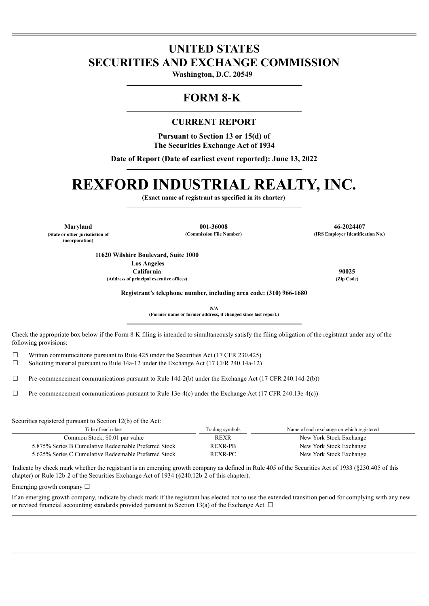## **UNITED STATES SECURITIES AND EXCHANGE COMMISSION**

**Washington, D.C. 20549** 

## **FORM 8-K**

### **CURRENT REPORT**

**Pursuant to Section 13 or 15(d) of The Securities Exchange Act of 1934**

**Date of Report (Date of earliest event reported): June 13, 2022**

# **REXFORD INDUSTRIAL REALTY, INC.**

**(Exact name of registrant as specified in its charter)**

**(State or other jurisdiction of incorporation)**

**Maryland 001-36008 46-2024407 (Commission File Number) (IRS Employer Identification No.)**

**11620 Wilshire Boulevard, Suite 1000 Los Angeles California 90025 (Address of principal executive offices) (Zip Code)**

**Registrant's telephone number, including area code: (310) 966-1680**

**N/A (Former name or former address, if changed since last report.)**

Check the appropriate box below if the Form 8-K filing is intended to simultaneously satisfy the filing obligation of the registrant under any of the following provisions:

 $\Box$  Written communications pursuant to Rule 425 under the Securities Act (17 CFR 230.425)

 $\Box$  Soliciting material pursuant to Rule 14a-12 under the Exchange Act (17 CFR 240.14a-12)

 $\Box$  Pre-commencement communications pursuant to Rule 14d-2(b) under the Exchange Act (17 CFR 240.14d-2(b))

 $\Box$  Pre-commencement communications pursuant to Rule 13e-4(c) under the Exchange Act (17 CFR 240.13e-4(c))

Securities registered pursuant to Section 12(b) of the Act:

| Title of each class                                   | Trading symbols | Name of each exchange on which registered |
|-------------------------------------------------------|-----------------|-------------------------------------------|
| Common Stock, \$0.01 par value                        | <b>REXR</b>     | New York Stock Exchange                   |
| 5.875% Series B Cumulative Redeemable Preferred Stock | <b>REXR-PB</b>  | New York Stock Exchange                   |
| 5.625% Series C Cumulative Redeemable Preferred Stock | <b>REXR-PC</b>  | New York Stock Exchange                   |

Indicate by check mark whether the registrant is an emerging growth company as defined in Rule 405 of the Securities Act of 1933 (§230.405 of this chapter) or Rule 12b-2 of the Securities Exchange Act of 1934 (§240.12b-2 of this chapter).

Emerging growth company  $\Box$ 

If an emerging growth company, indicate by check mark if the registrant has elected not to use the extended transition period for complying with any new or revised financial accounting standards provided pursuant to Section 13(a) of the Exchange Act.  $\Box$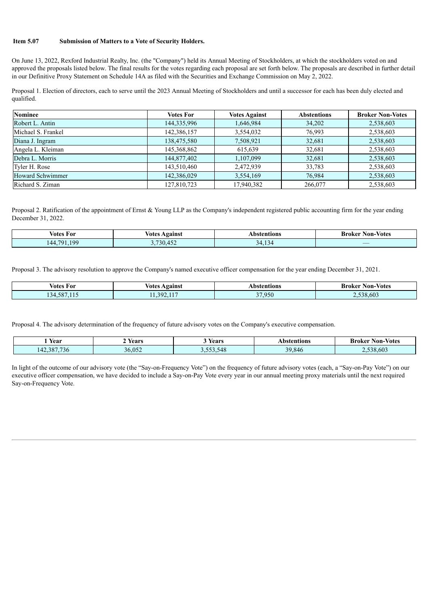#### **Item 5.07 Submission of Matters to a Vote of Security Holders.**

On June 13, 2022, Rexford Industrial Realty, Inc. (the "Company") held its Annual Meeting of Stockholders, at which the stockholders voted on and approved the proposals listed below. The final results for the votes regarding each proposal are set forth below. The proposals are described in further detail in our Definitive Proxy Statement on Schedule 14A as filed with the Securities and Exchange Commission on May 2, 2022.

Proposal 1. Election of directors, each to serve until the 2023 Annual Meeting of Stockholders and until a successor for each has been duly elected and qualified.

| Nominee                 | <b>Votes For</b> | <b>Votes Against</b> | <b>Abstentions</b> | <b>Broker Non-Votes</b> |
|-------------------------|------------------|----------------------|--------------------|-------------------------|
| Robert L. Antin         | 144,335,996      | 1,646,984            | 34,202             | 2,538,603               |
| Michael S. Frankel      | 142,386,157      | 3,554,032            | 76,993             | 2,538,603               |
| Diana J. Ingram         | 138,475,580      | 7,508,921            | 32,681             | 2,538,603               |
| Angela L. Kleiman       | 145,368,862      | 615,639              | 32,681             | 2,538,603               |
| Debra L. Morris         | 144,877,402      | 1,107,099            | 32,681             | 2,538,603               |
| Tyler H. Rose           | 143,510,460      | 2,472,939            | 33,783             | 2,538,603               |
| <b>Howard Schwimmer</b> | 142,386,029      | 3,554,169            | 76,984             | 2,538,603               |
| Richard S. Ziman        | 127,810,723      | 17,940,382           | 266,077            | 2,538,603               |

Proposal 2. Ratification of the appointment of Ernst  $\&$  Young LLP as the Company's independent registered public accounting firm for the year ending December 31, 2022.

| ⁄otes<br>For                 | votes<br>Against | Abstentions                 | - -<br><b>Non-Votes</b><br>Broker |
|------------------------------|------------------|-----------------------------|-----------------------------------|
| 100<br>701<br>$\Delta\Delta$ | 730.45.          | $\sim$<br>$\mathbf{u}$<br>. | __                                |

Proposal 3. The advisory resolution to approve the Company's named executive officer compensation for the year ending December 31, 2021.

| votes ł<br>For                                            | Votes<br>Against          | Abstentions                 | - Votes<br>Broker<br>Non- |
|-----------------------------------------------------------|---------------------------|-----------------------------|---------------------------|
| EQ'<br>$-1$ $-1$ $-1$<br>$\sim$<br>1.38'<br>$\mathcal{A}$ | $-4.4.7$<br>າດາ<br>.<br>. | 050<br>$\sim$ $-$<br>$\sim$ | 38.603                    |

Proposal 4. The advisory determination of the frequency of future advisory votes on the Company's executive compensation.

| Year                                             | Years  | Years     | Abstentions | <b>Non-Votes</b><br>Broker |
|--------------------------------------------------|--------|-----------|-------------|----------------------------|
| 387.736<br>$\sqrt{4}$<br>1.136<br>$\overline{4}$ | 36.052 | 3,553,548 | 39.846      | 8.603<br>538               |

In light of the outcome of our advisory vote (the "Say-on-Frequency Vote") on the frequency of future advisory votes (each, a "Say-on-Pay Vote") on our executive officer compensation, we have decided to include a Say-on-Pay Vote every year in our annual meeting proxy materials until the next required Say-on-Frequency Vote.